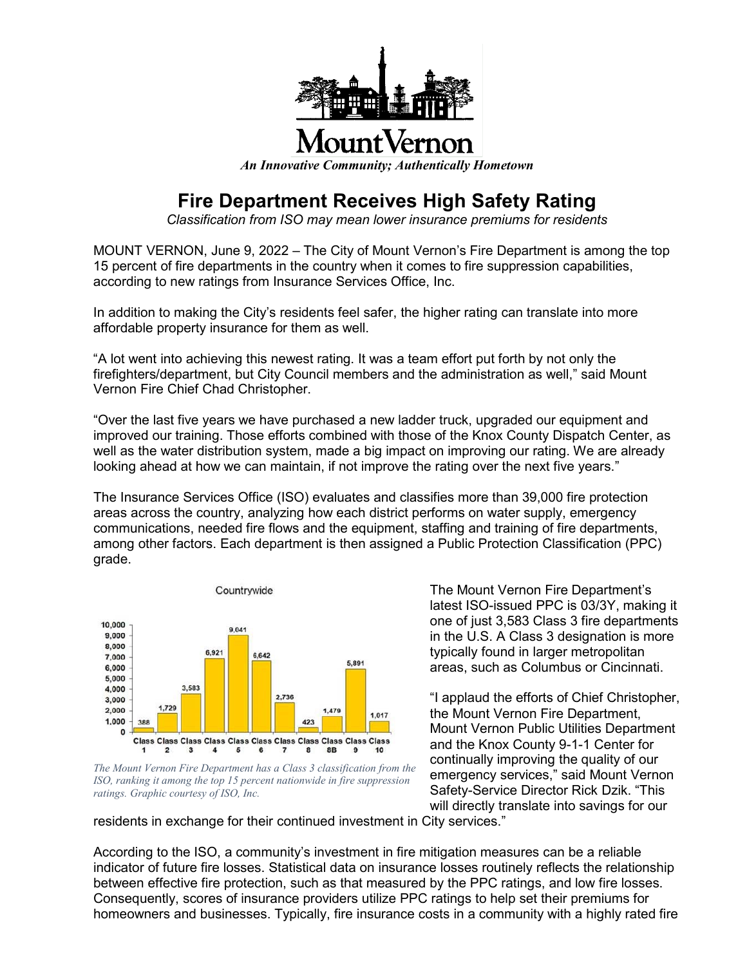

*An Innovative Community; Authentically Hometown*

## **Fire Department Receives High Safety Rating**

*Classification from ISO may mean lower insurance premiums for residents*

MOUNT VERNON, June 9, 2022 – The City of Mount Vernon's Fire Department is among the top 15 percent of fire departments in the country when it comes to fire suppression capabilities, according to new ratings from Insurance Services Office, Inc.

In addition to making the City's residents feel safer, the higher rating can translate into more affordable property insurance for them as well.

"A lot went into achieving this newest rating. It was a team effort put forth by not only the firefighters/department, but City Council members and the administration as well," said Mount Vernon Fire Chief Chad Christopher.

"Over the last five years we have purchased a new ladder truck, upgraded our equipment and improved our training. Those efforts combined with those of the Knox County Dispatch Center, as well as the water distribution system, made a big impact on improving our rating. We are already looking ahead at how we can maintain, if not improve the rating over the next five years."

The Insurance Services Office (ISO) evaluates and classifies more than 39,000 fire protection areas across the country, analyzing how each district performs on water supply, emergency communications, needed fire flows and the equipment, staffing and training of fire departments, among other factors. Each department is then assigned a Public Protection Classification (PPC) grade.



*The Mount Vernon Fire Department has a Class 3 classification from the ISO, ranking it among the top 15 percent nationwide in fire suppression ratings. Graphic courtesy of ISO, Inc.*

The Mount Vernon Fire Department's latest ISO-issued PPC is 03/3Y, making it one of just 3,583 Class 3 fire departments in the U.S. A Class 3 designation is more typically found in larger metropolitan areas, such as Columbus or Cincinnati.

"I applaud the efforts of Chief Christopher, the Mount Vernon Fire Department, Mount Vernon Public Utilities Department and the Knox County 9-1-1 Center for continually improving the quality of our emergency services," said Mount Vernon Safety-Service Director Rick Dzik. "This will directly translate into savings for our

residents in exchange for their continued investment in City services."

According to the ISO, a community's investment in fire mitigation measures can be a reliable indicator of future fire losses. Statistical data on insurance losses routinely reflects the relationship between effective fire protection, such as that measured by the PPC ratings, and low fire losses. Consequently, scores of insurance providers utilize PPC ratings to help set their premiums for homeowners and businesses. Typically, fire insurance costs in a community with a highly rated fire